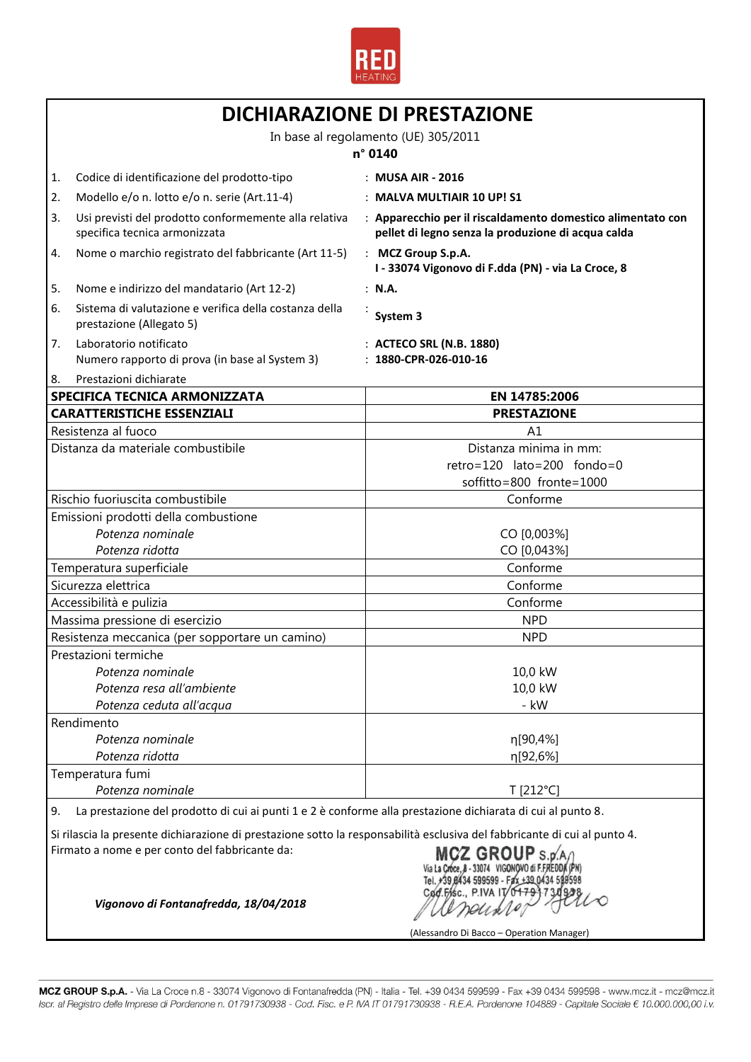

| <b>DICHIARAZIONE DI PRESTAZIONE</b>             |                                                                                                                                                              |                                                                                                                   |  |
|-------------------------------------------------|--------------------------------------------------------------------------------------------------------------------------------------------------------------|-------------------------------------------------------------------------------------------------------------------|--|
|                                                 | In base al regolamento (UE) 305/2011                                                                                                                         |                                                                                                                   |  |
|                                                 |                                                                                                                                                              | n° 0140                                                                                                           |  |
| 1.                                              | Codice di identificazione del prodotto-tipo                                                                                                                  | : MUSA AIR - 2016                                                                                                 |  |
| 2.                                              | Modello e/o n. lotto e/o n. serie (Art.11-4)                                                                                                                 | : MALVA MULTIAIR 10 UP! S1                                                                                        |  |
| 3.                                              | Usi previsti del prodotto conformemente alla relativa<br>specifica tecnica armonizzata                                                                       | : Apparecchio per il riscaldamento domestico alimentato con<br>pellet di legno senza la produzione di acqua calda |  |
| 4.                                              | Nome o marchio registrato del fabbricante (Art 11-5)                                                                                                         | : MCZ Group S.p.A.<br>I - 33074 Vigonovo di F.dda (PN) - via La Croce, 8                                          |  |
| 5.                                              | Nome e indirizzo del mandatario (Art 12-2)                                                                                                                   | : N.A.                                                                                                            |  |
| 6.                                              | Sistema di valutazione e verifica della costanza della<br>prestazione (Allegato 5)                                                                           | System 3                                                                                                          |  |
| 7.                                              | Laboratorio notificato<br>Numero rapporto di prova (in base al System 3)                                                                                     | : ACTECO SRL (N.B. 1880)<br>$: 1880$ -CPR-026-010-16                                                              |  |
| 8.                                              | Prestazioni dichiarate                                                                                                                                       |                                                                                                                   |  |
|                                                 | <b>SPECIFICA TECNICA ARMONIZZATA</b>                                                                                                                         | EN 14785:2006                                                                                                     |  |
|                                                 | <b>CARATTERISTICHE ESSENZIALI</b>                                                                                                                            | <b>PRESTAZIONE</b>                                                                                                |  |
|                                                 | Resistenza al fuoco                                                                                                                                          | A1                                                                                                                |  |
|                                                 | Distanza da materiale combustibile                                                                                                                           | Distanza minima in mm:                                                                                            |  |
|                                                 |                                                                                                                                                              | retro=120 lato=200 fondo=0                                                                                        |  |
|                                                 |                                                                                                                                                              | soffitto=800 fronte=1000                                                                                          |  |
|                                                 | Rischio fuoriuscita combustibile                                                                                                                             | Conforme                                                                                                          |  |
|                                                 | Emissioni prodotti della combustione<br>Potenza nominale                                                                                                     | CO [0,003%]                                                                                                       |  |
|                                                 |                                                                                                                                                              | CO [0,043%]                                                                                                       |  |
| Potenza ridotta                                 |                                                                                                                                                              | Conforme                                                                                                          |  |
| Temperatura superficiale<br>Sicurezza elettrica |                                                                                                                                                              | Conforme                                                                                                          |  |
| Accessibilità e pulizia                         |                                                                                                                                                              | Conforme                                                                                                          |  |
|                                                 | Massima pressione di esercizio                                                                                                                               | <b>NPD</b>                                                                                                        |  |
|                                                 | Resistenza meccanica (per sopportare un camino)                                                                                                              | <b>NPD</b>                                                                                                        |  |
|                                                 | Prestazioni termiche                                                                                                                                         |                                                                                                                   |  |
|                                                 | Potenza nominale                                                                                                                                             | 10,0 kW                                                                                                           |  |
|                                                 | Potenza resa all'ambiente                                                                                                                                    | 10,0 kW                                                                                                           |  |
|                                                 | Potenza ceduta all'acqua                                                                                                                                     | - kW                                                                                                              |  |
|                                                 | Rendimento                                                                                                                                                   |                                                                                                                   |  |
|                                                 | Potenza nominale                                                                                                                                             | η[90,4%]                                                                                                          |  |
|                                                 | Potenza ridotta                                                                                                                                              | η[92,6%]                                                                                                          |  |
|                                                 | Temperatura fumi                                                                                                                                             |                                                                                                                   |  |
| Potenza nominale                                |                                                                                                                                                              | T [212°C]                                                                                                         |  |
| 9.                                              | La prestazione del prodotto di cui ai punti 1 e 2 è conforme alla prestazione dichiarata di cui al punto 8.                                                  |                                                                                                                   |  |
|                                                 | Si rilascia la presente dichiarazione di prestazione sotto la responsabilità esclusiva del fabbricante di cui al punto 4.                                    |                                                                                                                   |  |
|                                                 | Firmato a nome e per conto del fabbricante da:<br>MCZ GROUP S.p.A/<br>Via La Croce, 8 - 33074 VIGONOVO di F.FREDDA (PN)<br>Tel. +39 0434 599599 - Fax +39 04 |                                                                                                                   |  |

Codesse PIVAIT 0+79 730 2210

(Alessandro Di Bacco – Operation Manager)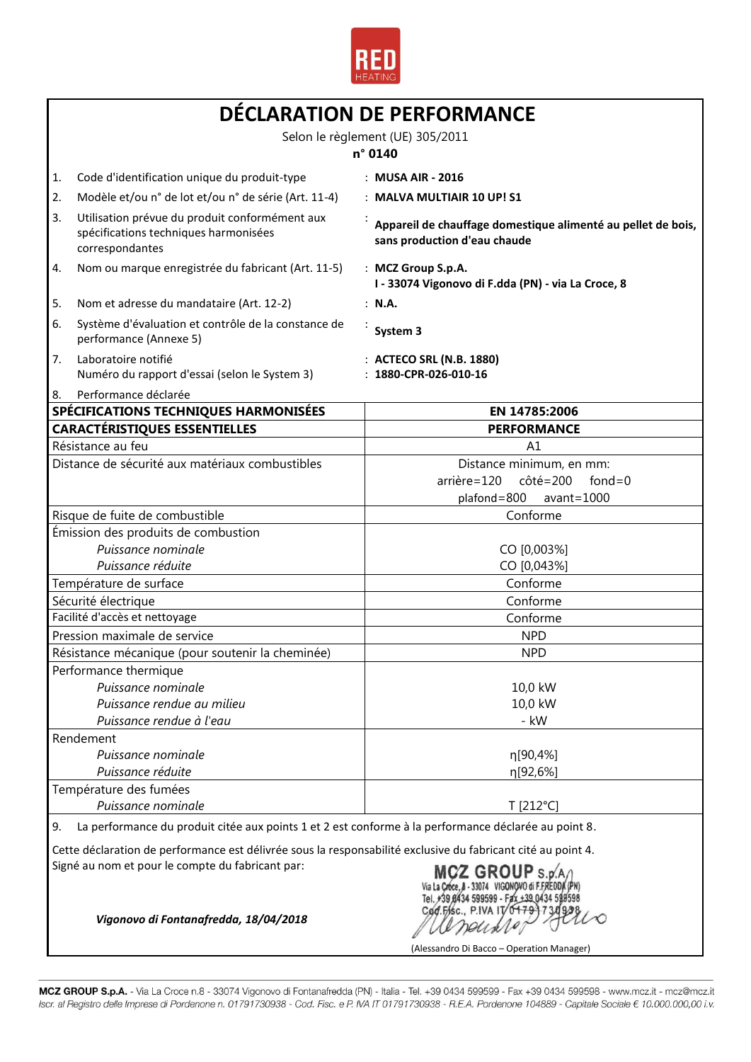

|                                                                     | DÉCLARATION DE PERFORMANCE<br>Selon le règlement (UE) 305/2011                                             |                                                                                                                   |  |
|---------------------------------------------------------------------|------------------------------------------------------------------------------------------------------------|-------------------------------------------------------------------------------------------------------------------|--|
|                                                                     |                                                                                                            |                                                                                                                   |  |
|                                                                     |                                                                                                            | n° 0140                                                                                                           |  |
| 1.                                                                  | Code d'identification unique du produit-type                                                               | : MUSA AIR - 2016                                                                                                 |  |
| 2.                                                                  | Modèle et/ou n° de lot et/ou n° de série (Art. 11-4)                                                       | : MALVA MULTIAIR 10 UP! S1                                                                                        |  |
| 3.                                                                  | Utilisation prévue du produit conformément aux<br>spécifications techniques harmonisées<br>correspondantes | Appareil de chauffage domestique alimenté au pellet de bois,<br>sans production d'eau chaude                      |  |
| 4.                                                                  | Nom ou marque enregistrée du fabricant (Art. 11-5)                                                         | : MCZ Group S.p.A.<br>I - 33074 Vigonovo di F.dda (PN) - via La Croce, 8                                          |  |
| 5.                                                                  | Nom et adresse du mandataire (Art. 12-2)                                                                   | : N.A.                                                                                                            |  |
| 6.                                                                  | Système d'évaluation et contrôle de la constance de<br>performance (Annexe 5)                              | System 3                                                                                                          |  |
| 7.                                                                  | Laboratoire notifié<br>Numéro du rapport d'essai (selon le System 3)                                       | : ACTECO SRL (N.B. 1880)<br>1880-CPR-026-010-16                                                                   |  |
| Performance déclarée<br>8.<br>SPÉCIFICATIONS TECHNIQUES HARMONISÉES |                                                                                                            | EN 14785:2006                                                                                                     |  |
|                                                                     | <b>CARACTÉRISTIQUES ESSENTIELLES</b>                                                                       | <b>PERFORMANCE</b>                                                                                                |  |
|                                                                     | Résistance au feu                                                                                          | A1                                                                                                                |  |
|                                                                     | Distance de sécurité aux matériaux combustibles                                                            | Distance minimum, en mm:<br>arrière=120<br>$c\hat{o}t\hat{e} = 200$<br>fond= $0$<br>plafond=800<br>$avant = 1000$ |  |
|                                                                     | Risque de fuite de combustible                                                                             | Conforme                                                                                                          |  |
|                                                                     | Émission des produits de combustion<br>Puissance nominale<br>Puissance réduite                             | CO [0,003%]<br>CO [0,043%]                                                                                        |  |
|                                                                     | Température de surface                                                                                     | Conforme                                                                                                          |  |
|                                                                     | Sécurité électrique                                                                                        | Conforme                                                                                                          |  |
|                                                                     | Facilité d'accès et nettoyage                                                                              | Conforme                                                                                                          |  |
|                                                                     | Pression maximale de service                                                                               | <b>NPD</b>                                                                                                        |  |
|                                                                     | Résistance mécanique (pour soutenir la cheminée)                                                           | <b>NPD</b>                                                                                                        |  |
|                                                                     | Performance thermique<br>Puissance nominale<br>Puissance rendue au milieu<br>Puissance rendue à l'eau      | 10,0 kW<br>10,0 kW<br>- kW                                                                                        |  |
|                                                                     | Rendement                                                                                                  |                                                                                                                   |  |
|                                                                     | Puissance nominale<br>Puissance réduite                                                                    | n[90,4%]<br>η[92,6%]                                                                                              |  |
|                                                                     | Température des fumées<br>Puissance nominale                                                               | T [212°C]                                                                                                         |  |
| 9.                                                                  | La performance du produit citée aux points 1 et 2 est conforme à la performance déclarée au point 8.       |                                                                                                                   |  |

Cette déclaration de performance est délivrée sous la responsabilité exclusive du fabricant cité au point 4. Signé au nom et pour le compte du fabricant par:

*Vigonovo di Fontanafredda, 18/04/2018*

MCZ GROUP S.p. A /<br>Via La Croce, 8 - 33074 VIGONOVO di F.FREDDA (PN)<br>Tel. +39 8434 599599 - Fax +39 0434 599598 Cod.Fisc., P.IVA IT 0479173 neuxion

(Alessandro Di Bacco – Operation Manager)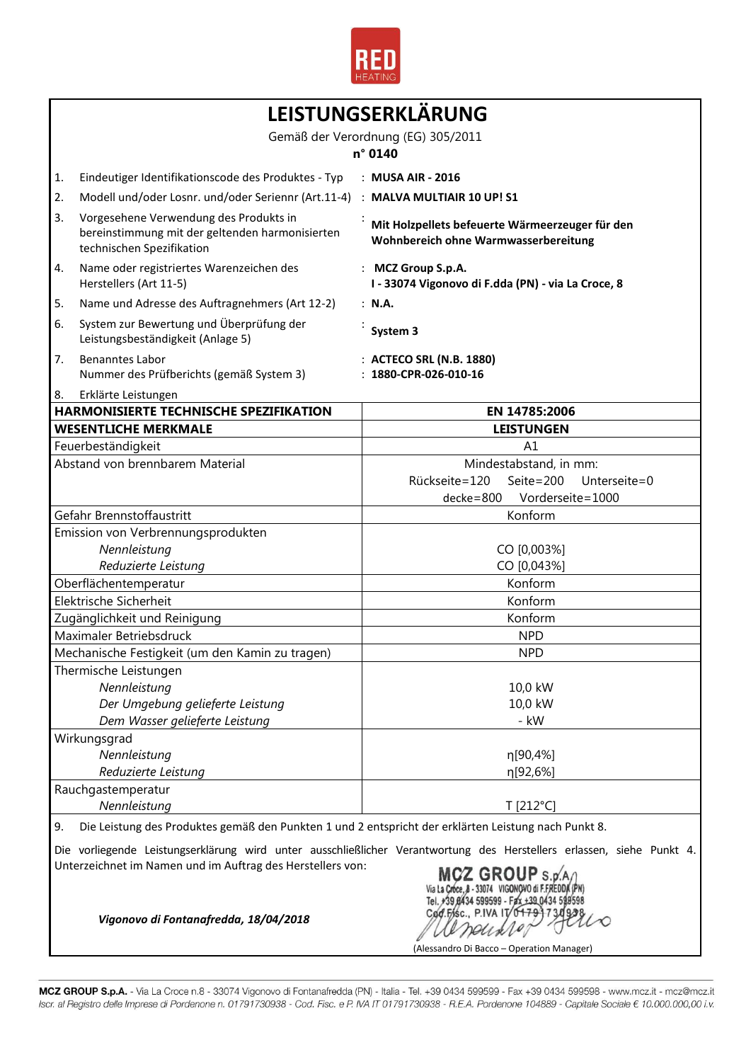

| LEISTUNGSERKLÄRUNG                                                                                                                                                                                       |                                                                                                                        |                                                                                         |  |
|----------------------------------------------------------------------------------------------------------------------------------------------------------------------------------------------------------|------------------------------------------------------------------------------------------------------------------------|-----------------------------------------------------------------------------------------|--|
|                                                                                                                                                                                                          | Gemäß der Verordnung (EG) 305/2011<br>n° 0140                                                                          |                                                                                         |  |
| 1.                                                                                                                                                                                                       | Eindeutiger Identifikationscode des Produktes - Typ                                                                    | : MUSA AIR - 2016                                                                       |  |
| 2.                                                                                                                                                                                                       | Modell und/oder Losnr. und/oder Seriennr (Art.11-4)                                                                    | : MALVA MULTIAIR 10 UP! S1                                                              |  |
| 3.                                                                                                                                                                                                       | Vorgesehene Verwendung des Produkts in<br>bereinstimmung mit der geltenden harmonisierten<br>technischen Spezifikation | Mit Holzpellets befeuerte Wärmeerzeuger für den<br>Wohnbereich ohne Warmwasserbereitung |  |
| 4.                                                                                                                                                                                                       | Name oder registriertes Warenzeichen des<br>Herstellers (Art 11-5)                                                     | : MCZ Group S.p.A.<br>I - 33074 Vigonovo di F.dda (PN) - via La Croce, 8                |  |
| 5.                                                                                                                                                                                                       | Name und Adresse des Auftragnehmers (Art 12-2)                                                                         | : N.A.                                                                                  |  |
| 6.                                                                                                                                                                                                       | System zur Bewertung und Überprüfung der<br>Leistungsbeständigkeit (Anlage 5)                                          | System 3                                                                                |  |
| 7.                                                                                                                                                                                                       | <b>Benanntes Labor</b><br>Nummer des Prüfberichts (gemäß System 3)                                                     | : ACTECO SRL (N.B. 1880)<br>$: 1880$ -CPR-026-010-16                                    |  |
| 8.                                                                                                                                                                                                       | Erklärte Leistungen                                                                                                    |                                                                                         |  |
|                                                                                                                                                                                                          | <b>HARMONISIERTE TECHNISCHE SPEZIFIKATION</b>                                                                          | EN 14785:2006                                                                           |  |
|                                                                                                                                                                                                          | <b>WESENTLICHE MERKMALE</b>                                                                                            | <b>LEISTUNGEN</b>                                                                       |  |
|                                                                                                                                                                                                          | Feuerbeständigkeit                                                                                                     | A1                                                                                      |  |
|                                                                                                                                                                                                          | Abstand von brennbarem Material                                                                                        | Mindestabstand, in mm:                                                                  |  |
|                                                                                                                                                                                                          |                                                                                                                        | Rückseite=120<br>Seite=200 Unterseite=0                                                 |  |
|                                                                                                                                                                                                          | Gefahr Brennstoffaustritt                                                                                              | Vorderseite=1000<br>$decke = 800$<br>Konform                                            |  |
|                                                                                                                                                                                                          | Emission von Verbrennungsprodukten                                                                                     |                                                                                         |  |
|                                                                                                                                                                                                          | Nennleistung                                                                                                           | CO [0,003%]                                                                             |  |
| Reduzierte Leistung                                                                                                                                                                                      |                                                                                                                        | CO [0,043%]                                                                             |  |
|                                                                                                                                                                                                          | Oberflächentemperatur                                                                                                  | Konform                                                                                 |  |
|                                                                                                                                                                                                          | Elektrische Sicherheit                                                                                                 | Konform                                                                                 |  |
|                                                                                                                                                                                                          | Zugänglichkeit und Reinigung                                                                                           | Konform                                                                                 |  |
|                                                                                                                                                                                                          | Maximaler Betriebsdruck                                                                                                | <b>NPD</b>                                                                              |  |
|                                                                                                                                                                                                          | Mechanische Festigkeit (um den Kamin zu tragen)                                                                        | <b>NPD</b>                                                                              |  |
|                                                                                                                                                                                                          | Thermische Leistungen                                                                                                  |                                                                                         |  |
|                                                                                                                                                                                                          | Nennleistung                                                                                                           | 10,0 kW                                                                                 |  |
|                                                                                                                                                                                                          | Der Umgebung gelieferte Leistung                                                                                       | 10,0 kW                                                                                 |  |
|                                                                                                                                                                                                          | Dem Wasser gelieferte Leistung                                                                                         | - kW                                                                                    |  |
|                                                                                                                                                                                                          | Wirkungsgrad                                                                                                           |                                                                                         |  |
|                                                                                                                                                                                                          | Nennleistung                                                                                                           | η[90,4%]                                                                                |  |
|                                                                                                                                                                                                          | Reduzierte Leistung                                                                                                    | η[92,6%]                                                                                |  |
| Rauchgastemperatur                                                                                                                                                                                       |                                                                                                                        |                                                                                         |  |
|                                                                                                                                                                                                          | Nennleistung                                                                                                           | T [212°C]                                                                               |  |
| 9.                                                                                                                                                                                                       | Die Leistung des Produktes gemäß den Punkten 1 und 2 entspricht der erklärten Leistung nach Punkt 8.                   |                                                                                         |  |
| Die vorliegende Leistungserklärung wird unter ausschließlicher Verantwortung des Herstellers erlassen, siehe Punkt 4.<br>Unterzeichnet im Namen und im Auftrag des Herstellers von:<br>MCZ GROUP S.p.A/I |                                                                                                                        |                                                                                         |  |

Tel. +39 8434 599599 - Fax +39 0434 599598<br>Cod. Fisc., P.IVA IT/047997349298 penares (Alessandro Di Bacco – Operation Manager)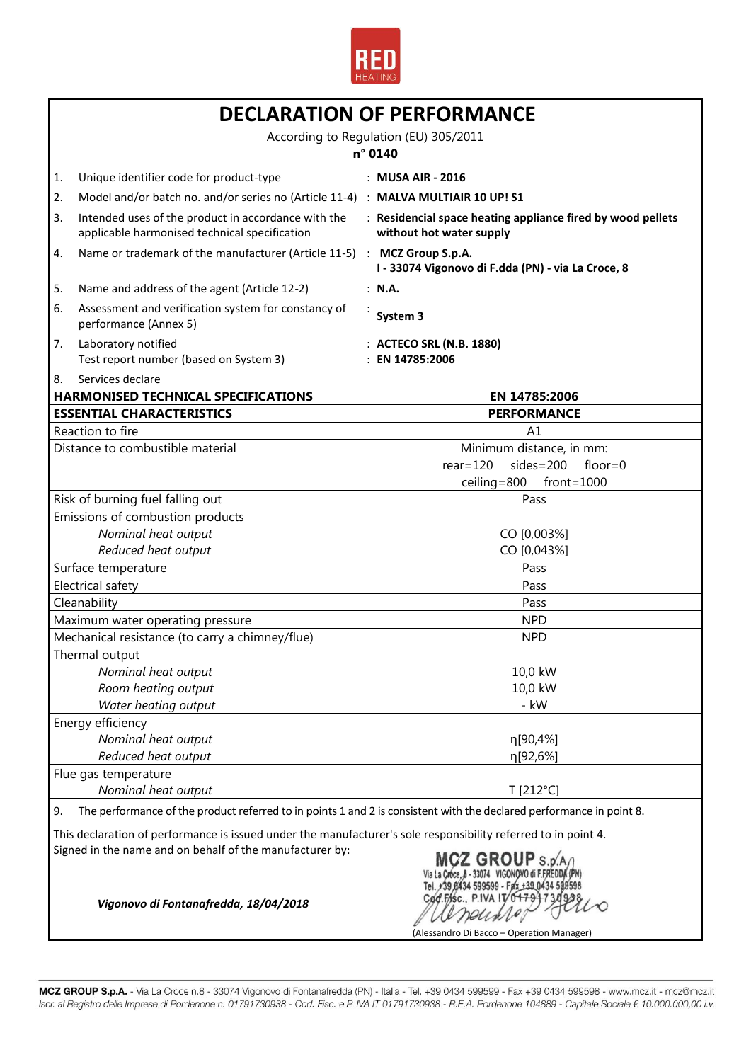

| <b>DECLARATION OF PERFORMANCE</b>                                                                                                                                                                  |                                                                                                                      |                                                                                         |  |
|----------------------------------------------------------------------------------------------------------------------------------------------------------------------------------------------------|----------------------------------------------------------------------------------------------------------------------|-----------------------------------------------------------------------------------------|--|
|                                                                                                                                                                                                    | According to Regulation (EU) 305/2011<br>n° 0140                                                                     |                                                                                         |  |
| 1.                                                                                                                                                                                                 | Unique identifier code for product-type                                                                              | : MUSA AIR - 2016                                                                       |  |
| 2.                                                                                                                                                                                                 | Model and/or batch no. and/or series no (Article 11-4) : MALVA MULTIAIR 10 UP! S1                                    |                                                                                         |  |
| 3.                                                                                                                                                                                                 | Intended uses of the product in accordance with the<br>applicable harmonised technical specification                 | : Residencial space heating appliance fired by wood pellets<br>without hot water supply |  |
| 4.                                                                                                                                                                                                 | Name or trademark of the manufacturer (Article 11-5) : MCZ Group S.p.A.                                              | I - 33074 Vigonovo di F.dda (PN) - via La Croce, 8                                      |  |
| 5.                                                                                                                                                                                                 | Name and address of the agent (Article 12-2)                                                                         | : N.A.                                                                                  |  |
| 6.                                                                                                                                                                                                 | Assessment and verification system for constancy of<br>performance (Annex 5)                                         | System 3                                                                                |  |
| 7.                                                                                                                                                                                                 | Laboratory notified<br>Test report number (based on System 3)                                                        | : ACTECO SRL (N.B. 1880)<br>: EN 14785:2006                                             |  |
| 8.                                                                                                                                                                                                 | Services declare                                                                                                     |                                                                                         |  |
|                                                                                                                                                                                                    | <b>HARMONISED TECHNICAL SPECIFICATIONS</b>                                                                           | EN 14785:2006                                                                           |  |
|                                                                                                                                                                                                    | <b>ESSENTIAL CHARACTERISTICS</b>                                                                                     | <b>PERFORMANCE</b>                                                                      |  |
|                                                                                                                                                                                                    | Reaction to fire<br>Distance to combustible material                                                                 | A1                                                                                      |  |
|                                                                                                                                                                                                    |                                                                                                                      | Minimum distance, in mm:<br>$sides = 200$                                               |  |
|                                                                                                                                                                                                    |                                                                                                                      | $rear=120$<br>$floor=0$<br>$ceiling = 800$<br>$front=1000$                              |  |
|                                                                                                                                                                                                    | Risk of burning fuel falling out                                                                                     | Pass                                                                                    |  |
|                                                                                                                                                                                                    | Emissions of combustion products                                                                                     |                                                                                         |  |
|                                                                                                                                                                                                    | Nominal heat output                                                                                                  | CO [0,003%]                                                                             |  |
|                                                                                                                                                                                                    | Reduced heat output                                                                                                  | CO [0,043%]                                                                             |  |
| Surface temperature                                                                                                                                                                                |                                                                                                                      | Pass                                                                                    |  |
| Electrical safety                                                                                                                                                                                  |                                                                                                                      | Pass                                                                                    |  |
| Cleanability                                                                                                                                                                                       |                                                                                                                      | Pass                                                                                    |  |
| Maximum water operating pressure                                                                                                                                                                   |                                                                                                                      | <b>NPD</b>                                                                              |  |
| Mechanical resistance (to carry a chimney/flue)                                                                                                                                                    |                                                                                                                      | <b>NPD</b>                                                                              |  |
|                                                                                                                                                                                                    | Thermal output                                                                                                       |                                                                                         |  |
|                                                                                                                                                                                                    | Nominal heat output                                                                                                  | 10,0 kW                                                                                 |  |
|                                                                                                                                                                                                    | Room heating output                                                                                                  | 10,0 kW                                                                                 |  |
|                                                                                                                                                                                                    | Water heating output                                                                                                 | - kW                                                                                    |  |
|                                                                                                                                                                                                    | Energy efficiency                                                                                                    |                                                                                         |  |
|                                                                                                                                                                                                    | Nominal heat output                                                                                                  | η[90,4%]                                                                                |  |
|                                                                                                                                                                                                    | Reduced heat output                                                                                                  | η[92,6%]                                                                                |  |
|                                                                                                                                                                                                    | Flue gas temperature                                                                                                 |                                                                                         |  |
|                                                                                                                                                                                                    | Nominal heat output                                                                                                  | T [212°C]                                                                               |  |
| 9.                                                                                                                                                                                                 | The performance of the product referred to in points 1 and 2 is consistent with the declared performance in point 8. |                                                                                         |  |
| This declaration of performance is issued under the manufacturer's sole responsibility referred to in point 4.<br>Signed in the name and on behalf of the manufacturer by:<br><b>MCZ GROUP</b> S.p |                                                                                                                      |                                                                                         |  |
|                                                                                                                                                                                                    | Cad.Filsc., P.IVA IV<br>Vigonovo di Fontanafredda, 18/04/2018                                                        |                                                                                         |  |

(Alessandro Di Bacco – Operation Manager)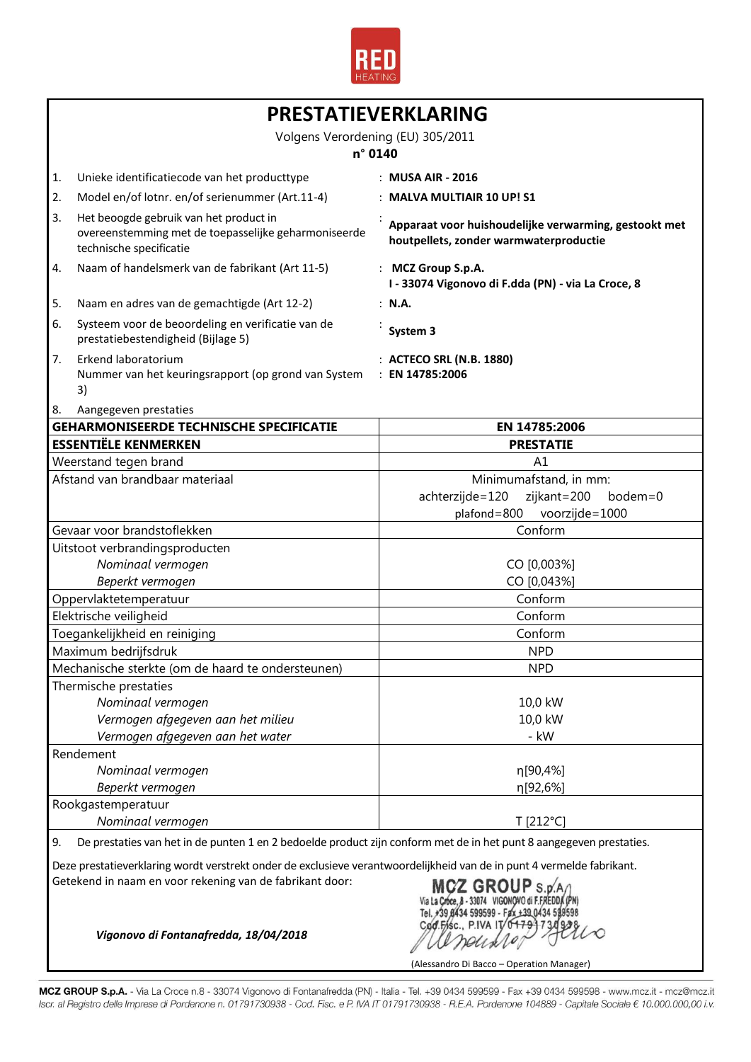

| PRESTATIEVERKLARING                                                                                                                                                                                                                                                                                                     |                                                                                                                           |                                                                                                 |  |
|-------------------------------------------------------------------------------------------------------------------------------------------------------------------------------------------------------------------------------------------------------------------------------------------------------------------------|---------------------------------------------------------------------------------------------------------------------------|-------------------------------------------------------------------------------------------------|--|
|                                                                                                                                                                                                                                                                                                                         | Volgens Verordening (EU) 305/2011<br>n° 0140                                                                              |                                                                                                 |  |
| 1.                                                                                                                                                                                                                                                                                                                      | Unieke identificatiecode van het producttype                                                                              | : MUSA AIR - 2016                                                                               |  |
| 2.                                                                                                                                                                                                                                                                                                                      | Model en/of lotnr. en/of serienummer (Art.11-4)                                                                           | : MALVA MULTIAIR 10 UP! S1                                                                      |  |
| 3.                                                                                                                                                                                                                                                                                                                      | Het beoogde gebruik van het product in<br>overeenstemming met de toepasselijke geharmoniseerde<br>technische specificatie | Apparaat voor huishoudelijke verwarming, gestookt met<br>houtpellets, zonder warmwaterproductie |  |
| 4.                                                                                                                                                                                                                                                                                                                      | Naam of handelsmerk van de fabrikant (Art 11-5)                                                                           | : MCZ Group S.p.A.<br>I - 33074 Vigonovo di F.dda (PN) - via La Croce, 8                        |  |
| 5.                                                                                                                                                                                                                                                                                                                      | Naam en adres van de gemachtigde (Art 12-2)                                                                               | : N.A.                                                                                          |  |
| 6.                                                                                                                                                                                                                                                                                                                      | Systeem voor de beoordeling en verificatie van de<br>prestatiebestendigheid (Bijlage 5)                                   | System 3                                                                                        |  |
| 7.                                                                                                                                                                                                                                                                                                                      | Erkend laboratorium                                                                                                       | : ACTECO SRL (N.B. 1880)                                                                        |  |
|                                                                                                                                                                                                                                                                                                                         | Nummer van het keuringsrapport (op grond van System                                                                       | : EN 14785:2006                                                                                 |  |
|                                                                                                                                                                                                                                                                                                                         | 3)                                                                                                                        |                                                                                                 |  |
| 8.                                                                                                                                                                                                                                                                                                                      | Aangegeven prestaties                                                                                                     |                                                                                                 |  |
|                                                                                                                                                                                                                                                                                                                         | <b>GEHARMONISEERDE TECHNISCHE SPECIFICATIE</b>                                                                            | EN 14785:2006                                                                                   |  |
|                                                                                                                                                                                                                                                                                                                         | <b>ESSENTIËLE KENMERKEN</b>                                                                                               | <b>PRESTATIE</b>                                                                                |  |
|                                                                                                                                                                                                                                                                                                                         | Weerstand tegen brand                                                                                                     | A1                                                                                              |  |
|                                                                                                                                                                                                                                                                                                                         | Afstand van brandbaar materiaal                                                                                           | Minimumafstand, in mm:<br>achterzijde=120<br>zijkant=200<br>bodem=0                             |  |
|                                                                                                                                                                                                                                                                                                                         |                                                                                                                           | voorzijde=1000<br>plafond=800                                                                   |  |
|                                                                                                                                                                                                                                                                                                                         | Gevaar voor brandstoflekken                                                                                               | Conform                                                                                         |  |
|                                                                                                                                                                                                                                                                                                                         | Uitstoot verbrandingsproducten                                                                                            |                                                                                                 |  |
|                                                                                                                                                                                                                                                                                                                         | Nominaal vermogen                                                                                                         | CO [0,003%]                                                                                     |  |
| Beperkt vermogen                                                                                                                                                                                                                                                                                                        |                                                                                                                           | CO [0,043%]                                                                                     |  |
| Oppervlaktetemperatuur                                                                                                                                                                                                                                                                                                  |                                                                                                                           | Conform                                                                                         |  |
|                                                                                                                                                                                                                                                                                                                         | Elektrische veiligheid                                                                                                    | Conform                                                                                         |  |
| Toegankelijkheid en reiniging                                                                                                                                                                                                                                                                                           |                                                                                                                           | Conform                                                                                         |  |
|                                                                                                                                                                                                                                                                                                                         | Maximum bedrijfsdruk                                                                                                      | <b>NPD</b>                                                                                      |  |
|                                                                                                                                                                                                                                                                                                                         | Mechanische sterkte (om de haard te ondersteunen)                                                                         | <b>NPD</b>                                                                                      |  |
|                                                                                                                                                                                                                                                                                                                         | Thermische prestaties                                                                                                     |                                                                                                 |  |
|                                                                                                                                                                                                                                                                                                                         | Nominaal vermogen                                                                                                         | 10,0 kW                                                                                         |  |
|                                                                                                                                                                                                                                                                                                                         | Vermogen afgegeven aan het milieu                                                                                         | 10,0 kW                                                                                         |  |
|                                                                                                                                                                                                                                                                                                                         | Vermogen afgegeven aan het water                                                                                          | - kW                                                                                            |  |
|                                                                                                                                                                                                                                                                                                                         | Rendement                                                                                                                 |                                                                                                 |  |
|                                                                                                                                                                                                                                                                                                                         | Nominaal vermogen                                                                                                         | η[90,4%]                                                                                        |  |
| Beperkt vermogen                                                                                                                                                                                                                                                                                                        |                                                                                                                           | η[92,6%]                                                                                        |  |
|                                                                                                                                                                                                                                                                                                                         | Rookgastemperatuur                                                                                                        |                                                                                                 |  |
|                                                                                                                                                                                                                                                                                                                         | Nominaal vermogen                                                                                                         | T [212°C]                                                                                       |  |
| 9.                                                                                                                                                                                                                                                                                                                      | De prestaties van het in de punten 1 en 2 bedoelde product zijn conform met de in het punt 8 aangegeven prestaties.       |                                                                                                 |  |
| Deze prestatieverklaring wordt verstrekt onder de exclusieve verantwoordelijkheid van de in punt 4 vermelde fabrikant.<br>Getekend in naam en voor rekening van de fabrikant door:<br>MCZ GROUP S.D.<br>Tel. +39 8434 599599 - Fax +39 0434 598598<br>Cod.Fisc., P.IVA IT/0479<br>Vigonovo di Fontanafredda, 18/04/2018 |                                                                                                                           |                                                                                                 |  |
|                                                                                                                                                                                                                                                                                                                         |                                                                                                                           |                                                                                                 |  |

(Alessandro Di Bacco – Operation Manager)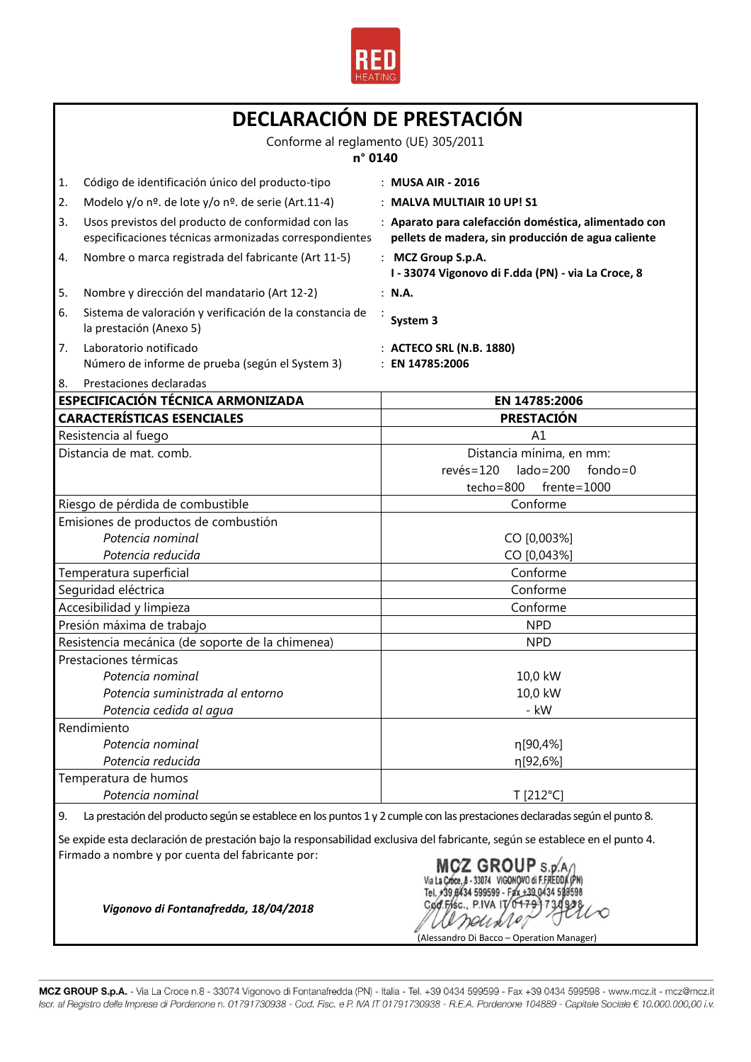

| DECLARACIÓN DE PRESTACIÓN<br>Conforme al reglamento (UE) 305/2011                                                                                                                                                                                   |                                                                                                                            |  |
|-----------------------------------------------------------------------------------------------------------------------------------------------------------------------------------------------------------------------------------------------------|----------------------------------------------------------------------------------------------------------------------------|--|
|                                                                                                                                                                                                                                                     |                                                                                                                            |  |
| 1.<br>Código de identificación único del producto-tipo                                                                                                                                                                                              | : MUSA AIR - 2016                                                                                                          |  |
| 2.<br>Modelo y/o nº. de lote y/o nº. de serie (Art.11-4)                                                                                                                                                                                            | : MALVA MULTIAIR 10 UP! S1                                                                                                 |  |
| Usos previstos del producto de conformidad con las<br>3.<br>especificaciones técnicas armonizadas correspondientes                                                                                                                                  | : Aparato para calefacción doméstica, alimentado con<br>pellets de madera, sin producción de agua caliente                 |  |
| Nombre o marca registrada del fabricante (Art 11-5)<br>4.                                                                                                                                                                                           | : MCZ Group S.p.A.<br>I - 33074 Vigonovo di F.dda (PN) - via La Croce, 8                                                   |  |
| 5.<br>Nombre y dirección del mandatario (Art 12-2)                                                                                                                                                                                                  | : N.A.                                                                                                                     |  |
| Sistema de valoración y verificación de la constancia de<br>6.<br>la prestación (Anexo 5)                                                                                                                                                           | System 3                                                                                                                   |  |
| 7.<br>Laboratorio notificado<br>Número de informe de prueba (según el System 3)                                                                                                                                                                     | : ACTECO SRL (N.B. 1880)<br>: EN 14785:2006                                                                                |  |
| Prestaciones declaradas<br>8.                                                                                                                                                                                                                       |                                                                                                                            |  |
| ESPECIFICACIÓN TÉCNICA ARMONIZADA                                                                                                                                                                                                                   | EN 14785:2006                                                                                                              |  |
| <b>CARACTERÍSTICAS ESENCIALES</b>                                                                                                                                                                                                                   | <b>PRESTACIÓN</b>                                                                                                          |  |
| Resistencia al fuego<br>Distancia de mat. comb.                                                                                                                                                                                                     | A1                                                                                                                         |  |
|                                                                                                                                                                                                                                                     | Distancia mínima, en mm:<br>$lado = 200$<br>$rev\acute{e}s = 120$<br>$fondo = 0$                                           |  |
|                                                                                                                                                                                                                                                     | $f$ rente= $1000$<br>techo=800                                                                                             |  |
| Riesgo de pérdida de combustible                                                                                                                                                                                                                    | Conforme                                                                                                                   |  |
| Emisiones de productos de combustión                                                                                                                                                                                                                |                                                                                                                            |  |
| Potencia nominal                                                                                                                                                                                                                                    | CO [0,003%]                                                                                                                |  |
| Potencia reducida                                                                                                                                                                                                                                   | CO [0,043%]                                                                                                                |  |
| Temperatura superficial                                                                                                                                                                                                                             | Conforme                                                                                                                   |  |
| Seguridad eléctrica                                                                                                                                                                                                                                 | Conforme                                                                                                                   |  |
| Accesibilidad y limpieza                                                                                                                                                                                                                            | Conforme                                                                                                                   |  |
| Presión máxima de trabajo                                                                                                                                                                                                                           | <b>NPD</b>                                                                                                                 |  |
| Resistencia mecánica (de soporte de la chimenea)                                                                                                                                                                                                    | <b>NPD</b>                                                                                                                 |  |
| Prestaciones térmicas                                                                                                                                                                                                                               |                                                                                                                            |  |
| Potencia nominal                                                                                                                                                                                                                                    | 10,0 kW                                                                                                                    |  |
| Potencia suministrada al entorno                                                                                                                                                                                                                    | 10,0 kW                                                                                                                    |  |
| Potencia cedida al agua                                                                                                                                                                                                                             | - kW                                                                                                                       |  |
| Rendimiento                                                                                                                                                                                                                                         |                                                                                                                            |  |
| Potencia nominal                                                                                                                                                                                                                                    | η[90,4%]                                                                                                                   |  |
| Potencia reducida                                                                                                                                                                                                                                   | η[92,6%]                                                                                                                   |  |
| Temperatura de humos<br>Potencia nominal                                                                                                                                                                                                            | T [212°C]                                                                                                                  |  |
| 9.                                                                                                                                                                                                                                                  | La prestación del producto según se establece en los puntos 1 y 2 cumple con las prestaciones declaradas según el punto 8. |  |
| Se expide esta declaración de prestación bajo la responsabilidad exclusiva del fabricante, según se establece en el punto 4.<br>Firmado a nombre y por cuenta del fabricante por:<br>MCZ GROUP S.P.A.<br>Tel. +39 8434 599599 - Fax +39 0434 599598 |                                                                                                                            |  |

(BL) 739 8434 399599 - PAX +39 0434 599598<br>
Cod. FASC., P.IVA IT 0 179 130 928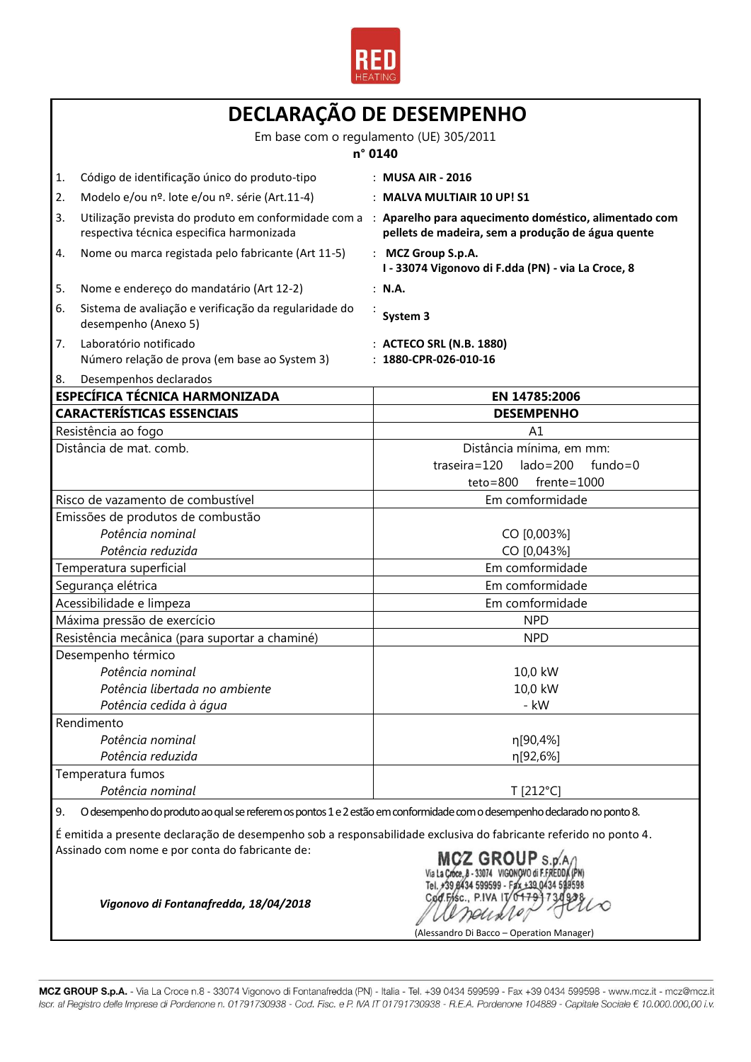

| DECLARAÇÃO DE DESEMPENHO                                                                                      |                                                                                                                                                         |                                                                          |  |
|---------------------------------------------------------------------------------------------------------------|---------------------------------------------------------------------------------------------------------------------------------------------------------|--------------------------------------------------------------------------|--|
|                                                                                                               | Em base com o regulamento (UE) 305/2011<br>n° 0140                                                                                                      |                                                                          |  |
| 1.                                                                                                            | Código de identificação único do produto-tipo                                                                                                           | : MUSA AIR - 2016                                                        |  |
| 2.                                                                                                            | Modelo e/ou nº. lote e/ou nº. série (Art.11-4)                                                                                                          | : MALVA MULTIAIR 10 UP! S1                                               |  |
| 3.                                                                                                            | Utilização prevista do produto em conformidade com a : Aparelho para aquecimento doméstico, alimentado com<br>respectiva técnica especifica harmonizada | pellets de madeira, sem a produção de água quente                        |  |
| 4.                                                                                                            | Nome ou marca registada pelo fabricante (Art 11-5)                                                                                                      | : MCZ Group S.p.A.<br>I - 33074 Vigonovo di F.dda (PN) - via La Croce, 8 |  |
| 5.                                                                                                            | Nome e endereço do mandatário (Art 12-2)                                                                                                                | : N.A.                                                                   |  |
| 6.                                                                                                            | Sistema de avaliação e verificação da regularidade do<br>desempenho (Anexo 5)                                                                           | System 3                                                                 |  |
| 7.                                                                                                            | Laboratório notificado<br>Número relação de prova (em base ao System 3)                                                                                 | : ACTECO SRL (N.B. 1880)<br>: 1880-CPR-026-010-16                        |  |
| 8.                                                                                                            | Desempenhos declarados                                                                                                                                  |                                                                          |  |
|                                                                                                               | <b>ESPECÍFICA TÉCNICA HARMONIZADA</b>                                                                                                                   | EN 14785:2006                                                            |  |
|                                                                                                               | <b>CARACTERÍSTICAS ESSENCIAIS</b>                                                                                                                       | <b>DESEMPENHO</b>                                                        |  |
|                                                                                                               | Resistência ao fogo<br>Distância de mat. comb.                                                                                                          | A1<br>Distância mínima, em mm:                                           |  |
|                                                                                                               |                                                                                                                                                         | $traseira = 120$<br>$lado = 200$<br>$fundo = 0$                          |  |
|                                                                                                               |                                                                                                                                                         | $teto = 800$<br>$f$ rente=1000                                           |  |
|                                                                                                               | Risco de vazamento de combustível                                                                                                                       | Em comformidade                                                          |  |
|                                                                                                               | Emissões de produtos de combustão                                                                                                                       |                                                                          |  |
|                                                                                                               | Potência nominal                                                                                                                                        | CO [0,003%]                                                              |  |
| Potência reduzida                                                                                             |                                                                                                                                                         | CO [0,043%]                                                              |  |
| Temperatura superficial                                                                                       |                                                                                                                                                         | Em comformidade                                                          |  |
|                                                                                                               | Segurança elétrica                                                                                                                                      | Em comformidade                                                          |  |
|                                                                                                               | Acessibilidade e limpeza                                                                                                                                | Em comformidade                                                          |  |
| Máxima pressão de exercício                                                                                   |                                                                                                                                                         | <b>NPD</b>                                                               |  |
| Resistência mecânica (para suportar a chaminé)                                                                |                                                                                                                                                         | <b>NPD</b>                                                               |  |
|                                                                                                               | Desempenho térmico                                                                                                                                      |                                                                          |  |
|                                                                                                               | Potência nominal                                                                                                                                        | 10,0 kW                                                                  |  |
|                                                                                                               | Potência libertada no ambiente                                                                                                                          | 10,0 kW                                                                  |  |
|                                                                                                               | Potência cedida à água                                                                                                                                  | - kW                                                                     |  |
| Rendimento                                                                                                    |                                                                                                                                                         |                                                                          |  |
|                                                                                                               | Potência nominal                                                                                                                                        | η[90,4%]                                                                 |  |
|                                                                                                               | Potência reduzida                                                                                                                                       | η[92,6%]                                                                 |  |
|                                                                                                               | Temperatura fumos                                                                                                                                       |                                                                          |  |
|                                                                                                               | Potência nominal                                                                                                                                        | T [212°C]                                                                |  |
| 9.                                                                                                            | O desempenho do produto ao qual se referem os pontos 1 e 2 estão em conformidade com o desempenho declarado no ponto 8.                                 |                                                                          |  |
|                                                                                                               | É emitida a presente declaração de desempenho sob a responsabilidade exclusiva do fabricante referido no ponto 4.                                       |                                                                          |  |
| Assinado com nome e por conta do fabricante de:<br><b>MCZ GROUPs</b><br>Vigonovo di Fontanafredda, 18/04/2018 |                                                                                                                                                         |                                                                          |  |

MCZ GROUP S.p.A. - Via La Croce n.8 - 33074 Vigonovo di Fontanafredda (PN) - Italia - Tel. +39 0434 599599 - Fax +39 0434 599598 - www.mcz.it - mcz@mcz.it Iscr. al Registro delle Imprese di Pordenone n. 01791730938 - Cod. Fisc. e P. IVA IT 01791730938 - R.E.A. Pordenone 104889 - Capitale Sociale € 10.000.000,00 i.v.

(Alessandro Di Bacco – Operation Manager)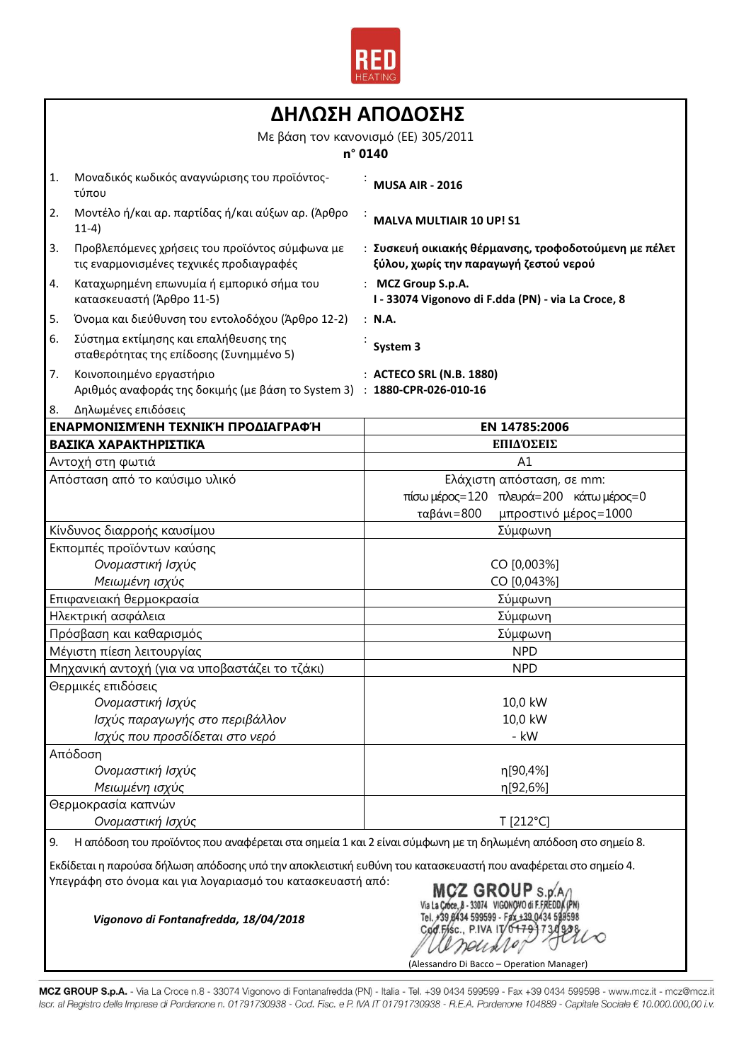

|                                |                                                                                                              | ΔΗΛΩΣΗ ΑΠΟΔΟΣΗΣ                                                                                 |  |
|--------------------------------|--------------------------------------------------------------------------------------------------------------|-------------------------------------------------------------------------------------------------|--|
|                                |                                                                                                              | Με βάση τον κανονισμό (ΕΕ) 305/2011                                                             |  |
|                                |                                                                                                              | n° 0140                                                                                         |  |
| 1.                             | Μοναδικός κωδικός αναγνώρισης του προϊόντος-<br>τύπου                                                        | <b>MUSA AIR - 2016</b>                                                                          |  |
| 2.                             | Μοντέλο ή/και αρ. παρτίδας ή/και αύξων αρ. (Άρθρο<br>$11-4)$                                                 | <b>MALVA MULTIAIR 10 UP! S1</b>                                                                 |  |
| 3.                             | Προβλεπόμενες χρήσεις του προϊόντος σύμφωνα με<br>τις εναρμονισμένες τεχνικές προδιαγραφές                   | : Συσκευή οικιακής θέρμανσης, τροφοδοτούμενη με πέλετ<br>ξύλου, χωρίς την παραγωγή ζεστού νερού |  |
| 4.                             | Καταχωρημένη επωνυμία ή εμπορικό σήμα του<br>κατασκευαστή (Άρθρο 11-5)                                       | : MCZ Group S.p.A.<br>I - 33074 Vigonovo di F.dda (PN) - via La Croce, 8                        |  |
| 5.                             | Όνομα και διεύθυνση του εντολοδόχου (Άρθρο 12-2)                                                             | : N.A.                                                                                          |  |
| 6.                             | Σύστημα εκτίμησης και επαλήθευσης της<br>σταθερότητας της επίδοσης (Συνημμένο 5)                             | System 3                                                                                        |  |
| 7.                             | Κοινοποιημένο εργαστήριο<br>Αριθμός αναφοράς της δοκιμής (με βάση το System 3) : 1880-CPR-026-010-16         | : ACTECO SRL (N.B. 1880)                                                                        |  |
| 8.                             | Δηλωμένες επιδόσεις                                                                                          |                                                                                                 |  |
|                                | ΕΝΑΡΜΟΝΙΣΜΈΝΗ ΤΕΧΝΙΚΉ ΠΡΟΔΙΑΓΡΑΦΉ                                                                            | EN 14785:2006                                                                                   |  |
|                                | ΒΑΣΙΚΆ ΧΑΡΑΚΤΗΡΙΣΤΙΚΆ                                                                                        | ΕΠΙΔΌΣΕΙΣ                                                                                       |  |
|                                | Αντοχή στη φωτιά                                                                                             | A1                                                                                              |  |
|                                | Απόσταση από το καύσιμο υλικό                                                                                | Ελάχιστη απόσταση, σε mm:                                                                       |  |
|                                |                                                                                                              | πίσω μέρος=120 πλευρά=200 κάτω μέρος=0                                                          |  |
|                                |                                                                                                              | ταβάνι=800<br>μπροστινό μέρος=1000                                                              |  |
| Κίνδυνος διαρροής καυσίμου     |                                                                                                              | Σύμφωνη                                                                                         |  |
|                                | Εκπομπές προϊόντων καύσης                                                                                    |                                                                                                 |  |
| Ονομαστική Ισχύς               |                                                                                                              | CO [0,003%]                                                                                     |  |
| Μειωμένη ισχύς                 |                                                                                                              | CO [0,043%]                                                                                     |  |
|                                | Επιφανειακή θερμοκρασία                                                                                      | Σύμφωνη                                                                                         |  |
|                                | Ηλεκτρική ασφάλεια                                                                                           | Σύμφωνη                                                                                         |  |
|                                | Πρόσβαση και καθαρισμός                                                                                      | Σύμφωνη                                                                                         |  |
|                                | Μέγιστη πίεση λειτουργίας                                                                                    | <b>NPD</b>                                                                                      |  |
|                                | Μηχανική αντοχή (για να υποβαστάζει το τζάκι)                                                                | <b>NPD</b>                                                                                      |  |
|                                | Θερμικές επιδόσεις                                                                                           |                                                                                                 |  |
|                                | Ονομαστική Ισχύς                                                                                             | 10,0 kW                                                                                         |  |
| Ισχύς παραγωγής στο περιβάλλον |                                                                                                              | 10,0 kW                                                                                         |  |
| Ισχύς που προσδίδεται στο νερό |                                                                                                              | - kW                                                                                            |  |
|                                | Απόδοση                                                                                                      |                                                                                                 |  |
|                                | Ονομαστική Ισχύς                                                                                             | n[90,4%]                                                                                        |  |
|                                | Μειωμένη ισχύς                                                                                               | η[92,6%]                                                                                        |  |
|                                | Θερμοκρασία καπνών                                                                                           |                                                                                                 |  |
|                                | Ονομαστική Ισχύς                                                                                             | T [212°C]                                                                                       |  |
| 9.                             | Η απόδοση του προϊόντος που αναφέρεται στα σημεία 1 και 2 είναι σύμφωνη με τη δηλωμένη απόδοση στο σημείο 8. |                                                                                                 |  |

Εκδίδεται η παρούσα δήλωση απόδοσης υπό την αποκλειστική ευθύνη του κατασκευαστή που αναφέρεται στο σημείο 4. Υπεγράφη στο όνομα και για λογαριασμό του κατασκευαστή από:

*Vigonovo di Fontanafredda, 18/04/2018*

MCZ GROUP S.p.A.)<br>Via La Croce, 8 - 33074 VIGONOVO di F.FREDDA (PN)<br>Tel. +39,8434 599599 - F2x +39,0434 589598 Cod.Fisc., **PIVA 17**  $70$ 'fH perile U (Alessandro Di Bacco – Operation Manager)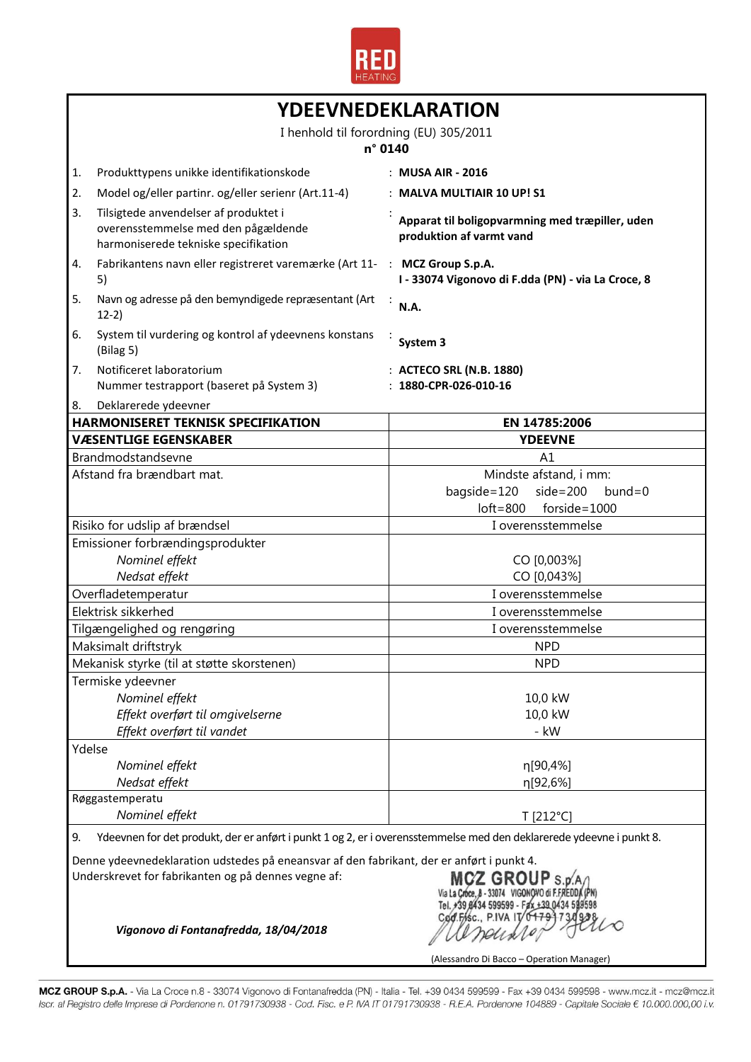

|                                      | YDEEVNEDEKLARATION                                                                                                                    |                                                                             |  |
|--------------------------------------|---------------------------------------------------------------------------------------------------------------------------------------|-----------------------------------------------------------------------------|--|
|                                      | I henhold til forordning (EU) 305/2011                                                                                                |                                                                             |  |
|                                      | n° 0140                                                                                                                               |                                                                             |  |
| 1.                                   | Produkttypens unikke identifikationskode                                                                                              | : MUSA AIR - 2016                                                           |  |
| 2.                                   | Model og/eller partinr. og/eller serienr (Art.11-4)                                                                                   | : MALVA MULTIAIR 10 UP! S1                                                  |  |
|                                      |                                                                                                                                       |                                                                             |  |
| 3.                                   | Tilsigtede anvendelser af produktet i<br>overensstemmelse med den pågældende<br>harmoniserede tekniske specifikation                  | Apparat til boligopvarmning med træpiller, uden<br>produktion af varmt vand |  |
| 4.                                   | Fabrikantens navn eller registreret varemærke (Art 11- : MCZ Group S.p.A.<br>5)                                                       | I - 33074 Vigonovo di F.dda (PN) - via La Croce, 8                          |  |
| 5.                                   | Navn og adresse på den bemyndigede repræsentant (Art<br>$12-2)$                                                                       | N.A.                                                                        |  |
| 6.                                   | System til vurdering og kontrol af ydeevnens konstans<br>(Bilag 5)                                                                    | System 3                                                                    |  |
| 7.                                   | Notificeret laboratorium                                                                                                              | : ACTECO SRL (N.B. 1880)                                                    |  |
|                                      | Nummer testrapport (baseret på System 3)                                                                                              | $: 1880$ -CPR-026-010-16                                                    |  |
| 8.                                   | Deklarerede ydeevner                                                                                                                  |                                                                             |  |
|                                      | <b>HARMONISERET TEKNISK SPECIFIKATION</b>                                                                                             | EN 14785:2006                                                               |  |
|                                      | <b>VÆSENTLIGE EGENSKABER</b>                                                                                                          | <b>YDEEVNE</b>                                                              |  |
|                                      | Brandmodstandsevne                                                                                                                    | A1                                                                          |  |
|                                      | Afstand fra brændbart mat.                                                                                                            | Mindste afstand, i mm:                                                      |  |
|                                      |                                                                                                                                       | bagside=120<br>$side=200$<br>$bund = 0$                                     |  |
|                                      |                                                                                                                                       | $loft = 800$<br>$forside = 1000$                                            |  |
|                                      | Risiko for udslip af brændsel                                                                                                         | I overensstemmelse                                                          |  |
|                                      | Emissioner forbrændingsprodukter                                                                                                      |                                                                             |  |
| Nominel effekt                       |                                                                                                                                       | CO [0,003%]                                                                 |  |
| Nedsat effekt<br>Overfladetemperatur |                                                                                                                                       | CO [0,043%]                                                                 |  |
|                                      | Elektrisk sikkerhed                                                                                                                   | I overensstemmelse                                                          |  |
|                                      |                                                                                                                                       | I overensstemmelse                                                          |  |
|                                      | Tilgængelighed og rengøring                                                                                                           | I overensstemmelse                                                          |  |
|                                      | Maksimalt driftstryk<br>Mekanisk styrke (til at støtte skorstenen)                                                                    | <b>NPD</b><br><b>NPD</b>                                                    |  |
|                                      |                                                                                                                                       |                                                                             |  |
|                                      | Termiske ydeevner                                                                                                                     |                                                                             |  |
|                                      | Nominel effekt<br>Effekt overført til omgivelserne                                                                                    | 10,0 kW<br>10,0 kW                                                          |  |
|                                      | Effekt overført til vandet                                                                                                            | - kW                                                                        |  |
| Ydelse                               |                                                                                                                                       |                                                                             |  |
|                                      | Nominel effekt                                                                                                                        | η[90,4%]                                                                    |  |
|                                      | Nedsat effekt                                                                                                                         | η[92,6%]                                                                    |  |
|                                      | Røggastemperatu                                                                                                                       |                                                                             |  |
| Nominel effekt                       |                                                                                                                                       | T [212°C]                                                                   |  |
| 9.                                   | Ydeevnen for det produkt, der er anført i punkt 1 og 2, er i overensstemmelse med den deklarerede ydeevne i punkt 8.                  |                                                                             |  |
|                                      | Denne ydeevnedeklaration udstedes på eneansvar af den fabrikant, der er anført i punkt 4.                                             |                                                                             |  |
|                                      | Underskrevet for fabrikanten og på dennes vegne af:<br>MCZ GROUP s.p.<br>Cod.Fisc., P.IVA IT<br>Vigonovo di Fontanafredda, 18/04/2018 |                                                                             |  |
|                                      |                                                                                                                                       | (Alessandro Di Bacco - Operation Manager)                                   |  |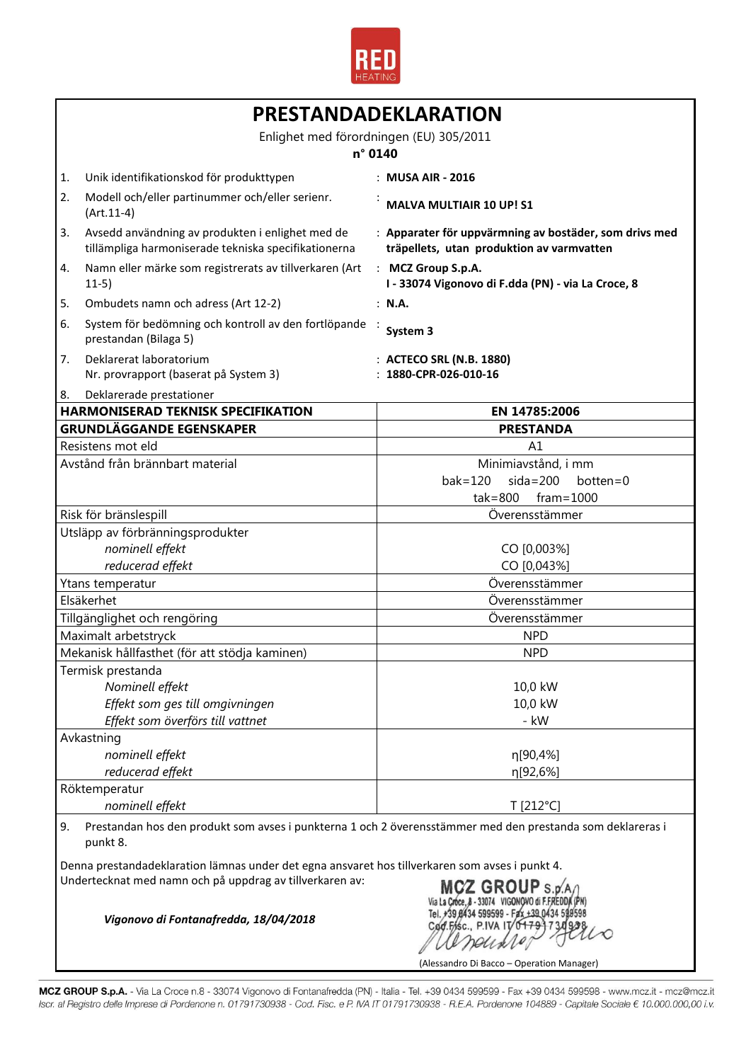

|                                                                       |                                                                                                          | PRESTANDADEKLARATION                                                                                       |  |
|-----------------------------------------------------------------------|----------------------------------------------------------------------------------------------------------|------------------------------------------------------------------------------------------------------------|--|
|                                                                       | Enlighet med förordningen (EU) 305/2011<br>n° 0140                                                       |                                                                                                            |  |
| 1.                                                                    | Unik identifikationskod för produkttypen                                                                 | : MUSA AIR - 2016                                                                                          |  |
| 2.                                                                    | Modell och/eller partinummer och/eller serienr.<br>$(Art.11-4)$                                          | <b>MALVA MULTIAIR 10 UP! S1</b>                                                                            |  |
| 3.                                                                    | Avsedd användning av produkten i enlighet med de<br>tillämpliga harmoniserade tekniska specifikationerna | : Apparater för uppvärmning av bostäder, som drivs med<br>träpellets, utan produktion av varmvatten        |  |
| 4.                                                                    | Namn eller märke som registrerats av tillverkaren (Art<br>$11-5)$                                        | : MCZ Group S.p.A.<br>I - 33074 Vigonovo di F.dda (PN) - via La Croce, 8                                   |  |
| 5.                                                                    | Ombudets namn och adress (Art 12-2)                                                                      | : N.A.                                                                                                     |  |
| 6.                                                                    | System för bedömning och kontroll av den fortlöpande<br>prestandan (Bilaga 5)                            | System 3                                                                                                   |  |
| 7.                                                                    | Deklarerat laboratorium<br>Nr. provrapport (baserat på System 3)                                         | : ACTECO SRL (N.B. 1880)<br>: 1880-CPR-026-010-16                                                          |  |
| 8.                                                                    | Deklarerade prestationer                                                                                 |                                                                                                            |  |
|                                                                       | <b>HARMONISERAD TEKNISK SPECIFIKATION</b>                                                                | EN 14785:2006                                                                                              |  |
|                                                                       | <b>GRUNDLÄGGANDE EGENSKAPER</b>                                                                          | <b>PRESTANDA</b>                                                                                           |  |
|                                                                       | Resistens mot eld                                                                                        | A1                                                                                                         |  |
|                                                                       | Avstånd från brännbart material                                                                          | Minimiavstånd, i mm<br>$bak = 120$<br>$sida=200$<br>botten=0                                               |  |
|                                                                       |                                                                                                          | $tak = 800$<br>$frame = 1000$                                                                              |  |
|                                                                       | Risk för bränslespill                                                                                    | Överensstämmer                                                                                             |  |
|                                                                       | Utsläpp av förbränningsprodukter                                                                         |                                                                                                            |  |
|                                                                       | nominell effekt                                                                                          | CO [0,003%]                                                                                                |  |
|                                                                       | reducerad effekt                                                                                         | CO [0,043%]                                                                                                |  |
|                                                                       | Ytans temperatur                                                                                         | Överensstämmer                                                                                             |  |
|                                                                       | Elsäkerhet                                                                                               | Överensstämmer                                                                                             |  |
|                                                                       | Tillgänglighet och rengöring                                                                             | Överensstämmer                                                                                             |  |
|                                                                       |                                                                                                          | <b>NPD</b>                                                                                                 |  |
| Maximalt arbetstryck<br>Mekanisk hållfasthet (för att stödja kaminen) |                                                                                                          | <b>NPD</b>                                                                                                 |  |
|                                                                       | Termisk prestanda                                                                                        |                                                                                                            |  |
|                                                                       |                                                                                                          | 10,0 kW                                                                                                    |  |
| Nominell effekt                                                       |                                                                                                          | 10,0 kW                                                                                                    |  |
| Effekt som ges till omgivningen                                       |                                                                                                          |                                                                                                            |  |
|                                                                       | Effekt som överförs till vattnet                                                                         | - kW                                                                                                       |  |
|                                                                       | Avkastning<br>nominell effekt                                                                            |                                                                                                            |  |
|                                                                       | reducerad effekt                                                                                         | η[90,4%]                                                                                                   |  |
|                                                                       |                                                                                                          | η[92,6%]                                                                                                   |  |
|                                                                       | Röktemperatur                                                                                            |                                                                                                            |  |
|                                                                       | nominell effekt                                                                                          | T [212°C]                                                                                                  |  |
| 9.                                                                    |                                                                                                          | Prestandan hos den produkt som avses i punkterna 1 och 2 överensstämmer med den prestanda som deklareras i |  |

9. Prestandan hos den produkt som avses i punkterna 1 och 2 överensstämmer med den prestanda som deklareras i punkt 8.

Denna prestandadeklaration lämnas under det egna ansvaret hos tillverkaren som avses i punkt 4. Undertecknat med namn och på uppdrag av tillverkaren av:

*Vigonovo di Fontanafredda, 18/04/2018*

MCZ GROUP S.p.A/I Via La Croce, 8 - 33074 VIGONOVO di F.FREDDA (PN)<br>Tel. +39 8434 599599 - Fax +39 0434 599598 Cod.Fisc., P.IVA IT/0479 173093 rensiv

(Alessandro Di Bacco – Operation Manager)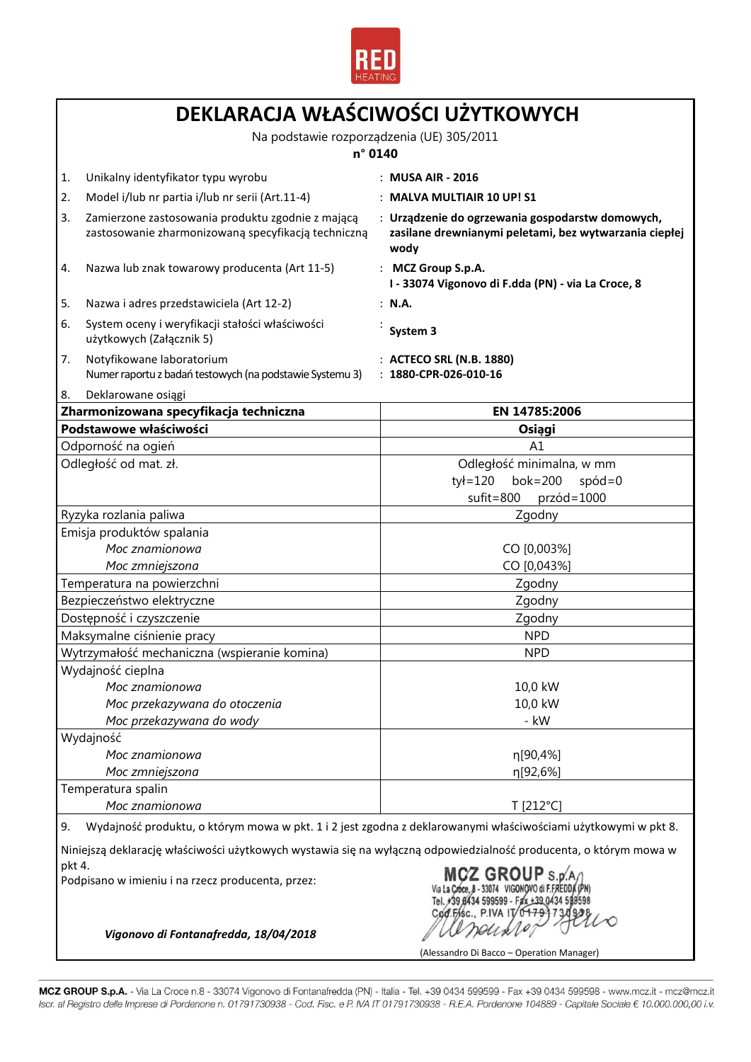

|                          | DEKLARACJA WŁAŚCIWOŚCI UŻYTKOWYCH                                                                                 |                                                                                                                    |  |
|--------------------------|-------------------------------------------------------------------------------------------------------------------|--------------------------------------------------------------------------------------------------------------------|--|
|                          | Na podstawie rozporządzenia (UE) 305/2011                                                                         |                                                                                                                    |  |
|                          | n° 0140                                                                                                           |                                                                                                                    |  |
| 1.                       | Unikalny identyfikator typu wyrobu                                                                                | : MUSA AIR - 2016                                                                                                  |  |
| 2.                       | Model i/lub nr partia i/lub nr serii (Art.11-4)                                                                   | : MALVA MULTIAIR 10 UP! S1                                                                                         |  |
| 3.                       | Zamierzone zastosowania produktu zgodnie z mającą<br>zastosowanie zharmonizowaną specyfikacją techniczną          | : Urządzenie do ogrzewania gospodarstw domowych,<br>zasilane drewnianymi peletami, bez wytwarzania ciepłej<br>wody |  |
| 4.                       | Nazwa lub znak towarowy producenta (Art 11-5)                                                                     | : MCZ Group S.p.A.<br>I - 33074 Vigonovo di F.dda (PN) - via La Croce, 8                                           |  |
| 5.                       | Nazwa i adres przedstawiciela (Art 12-2)                                                                          | : N.A.                                                                                                             |  |
| 6.                       | System oceny i weryfikacji stałości właściwości<br>użytkowych (Załącznik 5)                                       | System 3                                                                                                           |  |
| 7.                       | Notyfikowane laboratorium<br>Numer raportu z badań testowych (na podstawie Systemu 3)                             | : ACTECO SRL (N.B. 1880)<br>$: 1880$ -CPR-026-010-16                                                               |  |
| 8.                       | Deklarowane osiągi                                                                                                |                                                                                                                    |  |
|                          | Zharmonizowana specyfikacja techniczna                                                                            | EN 14785:2006                                                                                                      |  |
|                          | Podstawowe właściwości<br>Odporność na ogień                                                                      | Osiągi<br>A1                                                                                                       |  |
|                          | Odległość od mat. zł.                                                                                             | Odległość minimalna, w mm                                                                                          |  |
|                          |                                                                                                                   | $ty = 120$<br>$b$ ok=200<br>$spód=0$<br>$s$ ufit=800<br>$przód = 1000$                                             |  |
|                          | Ryzyka rozlania paliwa                                                                                            | Zgodny                                                                                                             |  |
|                          | Emisja produktów spalania                                                                                         |                                                                                                                    |  |
|                          | Moc znamionowa                                                                                                    | CO [0,003%]                                                                                                        |  |
|                          | Moc zmniejszona                                                                                                   | CO [0,043%]                                                                                                        |  |
|                          | Temperatura na powierzchni                                                                                        | Zgodny                                                                                                             |  |
|                          | Bezpieczeństwo elektryczne                                                                                        | Zgodny                                                                                                             |  |
| Dostępność i czyszczenie |                                                                                                                   | Zgodny                                                                                                             |  |
|                          | Maksymalne ciśnienie pracy                                                                                        | <b>NPD</b>                                                                                                         |  |
|                          | Wytrzymałość mechaniczna (wspieranie komina)                                                                      | <b>NPD</b>                                                                                                         |  |
|                          | Wydajność cieplna                                                                                                 |                                                                                                                    |  |
|                          | Moc znamionowa                                                                                                    | 10,0 kW                                                                                                            |  |
|                          | Moc przekazywana do otoczenia                                                                                     | 10,0 kW<br>- kW                                                                                                    |  |
|                          | Moc przekazywana do wody                                                                                          |                                                                                                                    |  |
|                          | Wydajność<br>Moc znamionowa                                                                                       | η[90,4%]                                                                                                           |  |
|                          | Moc zmniejszona                                                                                                   | η[92,6%]                                                                                                           |  |
|                          | Temperatura spalin                                                                                                |                                                                                                                    |  |
|                          | Moc znamionowa                                                                                                    | T [212°C]                                                                                                          |  |
| 9.                       |                                                                                                                   | Wydajność produktu, o którym mowa w pkt. 1 i 2 jest zgodna z deklarowanymi właściwościami użytkowymi w pkt 8.      |  |
|                          | Niniejszą deklarację właściwości użytkowych wystawia się na wyłączną odpowiedzialność producenta, o którym mowa w |                                                                                                                    |  |
| pkt 4.                   | Podpisano w imieniu i na rzecz producenta, przez:                                                                 | <b>MCZ GROUP</b><br>GO FASC. PIVA IT/0                                                                             |  |
|                          | Vigonovo di Fontanafredda, 18/04/2018                                                                             | (Alessandro Di Bacco - Operation Manager)                                                                          |  |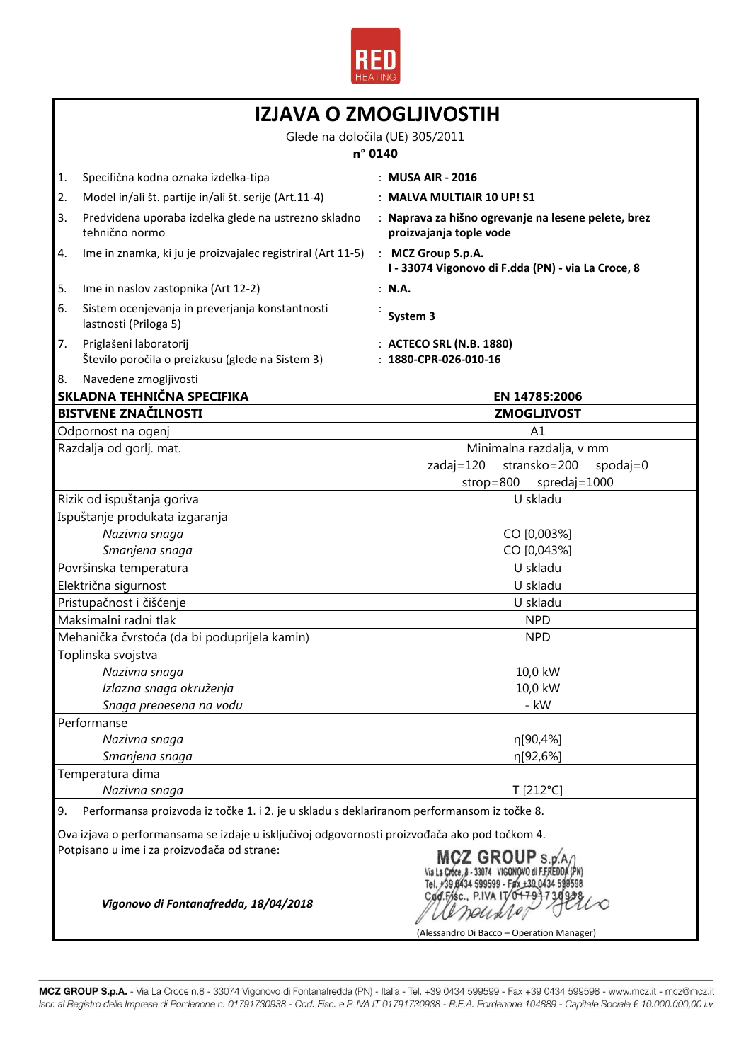

ń

| <b>IZJAVA O ZMOGLJIVOSTIH</b>                                                                    |                                                                                                                       |                                                                                                    |  |
|--------------------------------------------------------------------------------------------------|-----------------------------------------------------------------------------------------------------------------------|----------------------------------------------------------------------------------------------------|--|
| Glede na določila (UE) 305/2011<br>n° 0140                                                       |                                                                                                                       |                                                                                                    |  |
| 1.                                                                                               | Specifična kodna oznaka izdelka-tipa                                                                                  | : MUSA AIR - 2016                                                                                  |  |
| 2.                                                                                               | Model in/ali št. partije in/ali št. serije (Art.11-4)                                                                 | : MALVA MULTIAIR 10 UP! S1                                                                         |  |
| 3.                                                                                               | Predvidena uporaba izdelka glede na ustrezno skladno<br>tehnično normo                                                | : Naprava za hišno ogrevanje na lesene pelete, brez<br>proizvajanja tople vode                     |  |
| 4.                                                                                               | Ime in znamka, ki ju je proizvajalec registriral (Art 11-5)                                                           | : MCZ Group S.p.A.<br>I - 33074 Vigonovo di F.dda (PN) - via La Croce, 8                           |  |
| 5.                                                                                               | Ime in naslov zastopnika (Art 12-2)                                                                                   | : N.A.                                                                                             |  |
| 6.                                                                                               | Sistem ocenjevanja in preverjanja konstantnosti<br>lastnosti (Priloga 5)                                              | System 3                                                                                           |  |
| 7.                                                                                               | Priglašeni laboratorij<br>Število poročila o preizkusu (glede na Sistem 3)                                            | : ACTECO SRL (N.B. 1880)<br>$: 1880$ -CPR-026-010-16                                               |  |
| 8.                                                                                               | Navedene zmogljivosti                                                                                                 |                                                                                                    |  |
|                                                                                                  | SKLADNA TEHNIČNA SPECIFIKA                                                                                            | EN 14785:2006                                                                                      |  |
|                                                                                                  | <b>BISTVENE ZNAČILNOSTI</b>                                                                                           | <b>ZMOGLJIVOST</b>                                                                                 |  |
|                                                                                                  | Odpornost na ogenj                                                                                                    | A1                                                                                                 |  |
|                                                                                                  | Razdalja od gorlj. mat.                                                                                               | Minimalna razdalja, v mm<br>stransko=200<br>zadaj=120<br>$spodaj=0$<br>$strop=800$<br>spredaj=1000 |  |
|                                                                                                  | Rizik od ispuštanja goriva                                                                                            | U skladu                                                                                           |  |
|                                                                                                  | Ispuštanje produkata izgaranja                                                                                        |                                                                                                    |  |
|                                                                                                  | Nazivna snaga                                                                                                         | CO [0,003%]                                                                                        |  |
|                                                                                                  | Smanjena snaga                                                                                                        | CO [0,043%]                                                                                        |  |
| Površinska temperatura                                                                           |                                                                                                                       | U skladu                                                                                           |  |
| Električna sigurnost                                                                             |                                                                                                                       | U skladu                                                                                           |  |
|                                                                                                  | Pristupačnost i čišćenje                                                                                              | U skladu                                                                                           |  |
| Maksimalni radni tlak                                                                            |                                                                                                                       | <b>NPD</b>                                                                                         |  |
| Mehanička čvrstoća (da bi poduprijela kamin)                                                     |                                                                                                                       | <b>NPD</b>                                                                                         |  |
|                                                                                                  | Toplinska svojstva                                                                                                    |                                                                                                    |  |
|                                                                                                  | Nazivna snaga                                                                                                         | 10,0 kW                                                                                            |  |
|                                                                                                  | Izlazna snaga okruženja                                                                                               | 10,0 kW                                                                                            |  |
|                                                                                                  | Snaga prenesena na vodu                                                                                               | - kW                                                                                               |  |
|                                                                                                  | Performanse                                                                                                           | η[90,4%]                                                                                           |  |
|                                                                                                  | Nazivna snaga                                                                                                         | η[92,6%]                                                                                           |  |
|                                                                                                  | Smanjena snaga<br>Temperatura dima                                                                                    |                                                                                                    |  |
| Nazivna snaga                                                                                    |                                                                                                                       | T [212°C]                                                                                          |  |
| Performansa proizvoda iz točke 1. i 2. je u skladu s deklariranom performansom iz točke 8.<br>9. |                                                                                                                       |                                                                                                    |  |
|                                                                                                  | Ova izjava o performansama se izdaje u isključivoj odgovornosti proizvođača ako pod točkom 4.                         |                                                                                                    |  |
|                                                                                                  | Potpisano u ime i za proizvođača od strane:<br>MCZ GROUP S.p.<br>500500 - Fax +39 0434 59<br>Cod.Fisc., P.IVA IT/0479 |                                                                                                    |  |
|                                                                                                  | Vigonovo di Fontanafredda, 18/04/2018                                                                                 | (Alessandro Di Bacco - Operation Manager)                                                          |  |